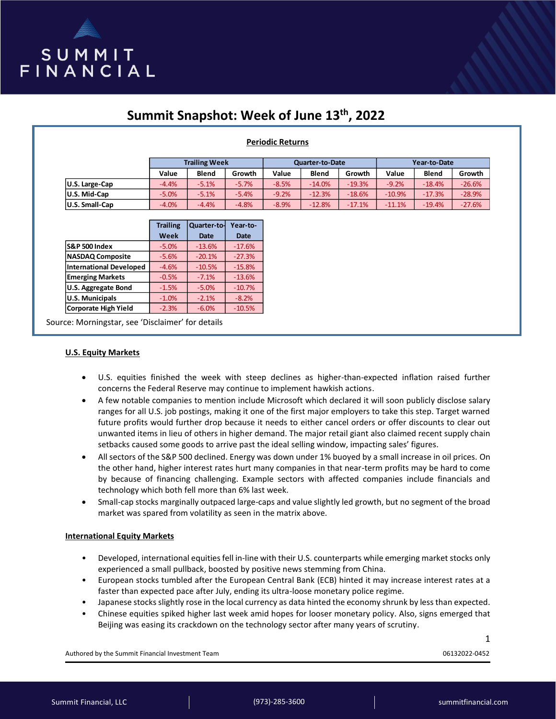

# **Summit Snapshot: Week of June 13th, 2022**

## **Periodic Returns**

|                       | <b>Trailing Week</b> |              |         | <b>Quarter-to-Date</b> |              |          | Year-to-Date |              |           |
|-----------------------|----------------------|--------------|---------|------------------------|--------------|----------|--------------|--------------|-----------|
|                       | Value                | <b>Blend</b> | Growth  | Value                  | <b>Blend</b> | Growth   | Value        | <b>Blend</b> | Growth    |
| U.S. Large-Cap        | $-4.4%$              | $-5.1%$      | $-5.7%$ | $-8.5%$                | $-14.0%$     | $-19.3%$ | $-9.2%$      | $-18.4%$     | $-26.6%$  |
| U.S. Mid-Cap          | $-5.0%$              | $-5.1%$      | $-5.4%$ | $-9.2%$                | $-12.3%$     | $-18.6%$ | $-10.9%$     | $-17.3%$     | $-28.9\%$ |
| <b>U.S. Small-Cap</b> | $-4.0%$              | $-4.4%$      | $-4.8%$ | $-8.9%$                | $-12.8%$     | $-17.1%$ | $-11.1%$     | $-19.4%$     | $-27.6%$  |

|                                | <b>Trailing</b> | Quarter-to- | Year-to-    |
|--------------------------------|-----------------|-------------|-------------|
|                                | Week            | <b>Date</b> | <b>Date</b> |
| <b>S&amp;P 500 Index</b>       | $-5.0%$         | $-13.6%$    | $-17.6%$    |
| <b>NASDAQ Composite</b>        | $-5.6%$         | $-20.1%$    | $-27.3%$    |
| <b>International Developed</b> | $-4.6%$         | $-10.5%$    | $-15.8%$    |
| <b>Emerging Markets</b>        | $-0.5%$         | $-7.1%$     | $-13.6%$    |
| <b>U.S. Aggregate Bond</b>     | $-1.5%$         | $-5.0%$     | $-10.7%$    |
| <b>U.S. Municipals</b>         | $-1.0%$         | $-2.1%$     | $-8.2%$     |
| <b>Corporate High Yield</b>    | $-2.3%$         | $-6.0%$     | $-10.5%$    |

Source: Morningstar, see 'Disclaimer' for details

#### **U.S. Equity Markets**

- U.S. equities finished the week with steep declines as higher-than-expected inflation raised further concerns the Federal Reserve may continue to implement hawkish actions.
- A few notable companies to mention include Microsoft which declared it will soon publicly disclose salary ranges for all U.S. job postings, making it one of the first major employers to take this step. Target warned future profits would further drop because it needs to either cancel orders or offer discounts to clear out unwanted items in lieu of others in higher demand. The major retail giant also claimed recent supply chain setbacks caused some goods to arrive past the ideal selling window, impacting sales' figures.
- All sectors of the S&P 500 declined. Energy was down under 1% buoyed by a small increase in oil prices. On the other hand, higher interest rates hurt many companies in that near-term profits may be hard to come by because of financing challenging. Example sectors with affected companies include financials and technology which both fell more than 6% last week.
- Small-cap stocks marginally outpaced large-caps and value slightly led growth, but no segment of the broad market was spared from volatility as seen in the matrix above.

## **International Equity Markets**

- Developed, international equities fell in-line with their U.S. counterparts while emerging market stocks only experienced a small pullback, boosted by positive news stemming from China.
- European stocks tumbled after the European Central Bank (ECB) hinted it may increase interest rates at a faster than expected pace after July, ending its ultra-loose monetary police regime.
- Japanese stocksslightly rose in the local currency as data hinted the economy shrunk by less than expected.
- Chinese equities spiked higher last week amid hopes for looser monetary policy. Also, signs emerged that Beijing was easing its crackdown on the technology sector after many years of scrutiny.

Authored by the Summit Financial Investment Team 06132022-0452

1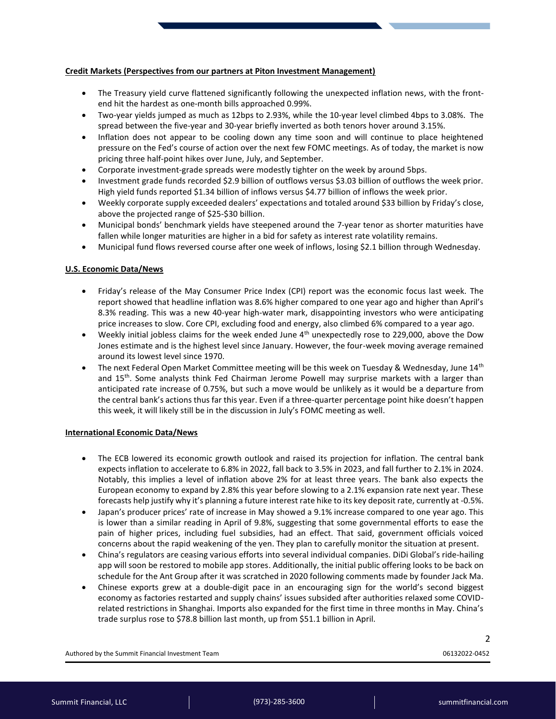## **Credit Markets (Perspectives from our partners at Piton Investment Management)**

- The Treasury yield curve flattened significantly following the unexpected inflation news, with the frontend hit the hardest as one-month bills approached 0.99%.
- Two-year yields jumped as much as 12bps to 2.93%, while the 10-year level climbed 4bps to 3.08%. The spread between the five-year and 30-year briefly inverted as both tenors hover around 3.15%.
- Inflation does not appear to be cooling down any time soon and will continue to place heightened pressure on the Fed's course of action over the next few FOMC meetings. As of today, the market is now pricing three half-point hikes over June, July, and September.
- Corporate investment-grade spreads were modestly tighter on the week by around 5bps.
- Investment grade funds recorded \$2.9 billion of outflows versus \$3.03 billion of outflows the week prior. High yield funds reported \$1.34 billion of inflows versus \$4.77 billion of inflows the week prior.
- Weekly corporate supply exceeded dealers' expectations and totaled around \$33 billion by Friday's close, above the projected range of \$25-\$30 billion.
- Municipal bonds' benchmark yields have steepened around the 7-year tenor as shorter maturities have fallen while longer maturities are higher in a bid for safety as interest rate volatility remains.
- Municipal fund flows reversed course after one week of inflows, losing \$2.1 billion through Wednesday.

## **U.S. Economic Data/News**

- Friday's release of the May Consumer Price Index (CPI) report was the economic focus last week. The report showed that headline inflation was 8.6% higher compared to one year ago and higher than April's 8.3% reading. This was a new 40-year high-water mark, disappointing investors who were anticipating price increases to slow. Core CPI, excluding food and energy, also climbed 6% compared to a year ago.
- Weekly initial jobless claims for the week ended June 4th unexpectedly rose to 229,000, above the Dow Jones estimate and is the highest level since January. However, the four-week moving average remained around its lowest level since 1970.
- The next Federal Open Market Committee meeting will be this week on Tuesday & Wednesday, June 14<sup>th</sup> and 15<sup>th</sup>. Some analysts think Fed Chairman Jerome Powell may surprise markets with a larger than anticipated rate increase of 0.75%, but such a move would be unlikely as it would be a departure from the central bank's actions thus far this year. Even if a three-quarter percentage point hike doesn't happen this week, it will likely still be in the discussion in July's FOMC meeting as well.

## **International Economic Data/News**

- The ECB lowered its economic growth outlook and raised its projection for inflation. The central bank expects inflation to accelerate to 6.8% in 2022, fall back to 3.5% in 2023, and fall further to 2.1% in 2024. Notably, this implies a level of inflation above 2% for at least three years. The bank also expects the European economy to expand by 2.8% this year before slowing to a 2.1% expansion rate next year. These forecasts help justify why it's planning a future interest rate hike to its key deposit rate, currently at -0.5%.
- Japan's producer prices' rate of increase in May showed a 9.1% increase compared to one year ago. This is lower than a similar reading in April of 9.8%, suggesting that some governmental efforts to ease the pain of higher prices, including fuel subsidies, had an effect. That said, government officials voiced concerns about the rapid weakening of the yen. They plan to carefully monitor the situation at present.
- China's regulators are ceasing various efforts into several individual companies. DiDi Global's ride-hailing app will soon be restored to mobile app stores. Additionally, the initial public offering looks to be back on schedule for the Ant Group after it was scratched in 2020 following comments made by founder Jack Ma.
- Chinese exports grew at a double-digit pace in an encouraging sign for the world's second biggest economy as factories restarted and supply chains' issues subsided after authorities relaxed some COVIDrelated restrictions in Shanghai. Imports also expanded for the first time in three months in May. China's trade surplus rose to \$78.8 billion last month, up from \$51.1 billion in April.

Authored by the Summit Financial Investment Team 06132022-0452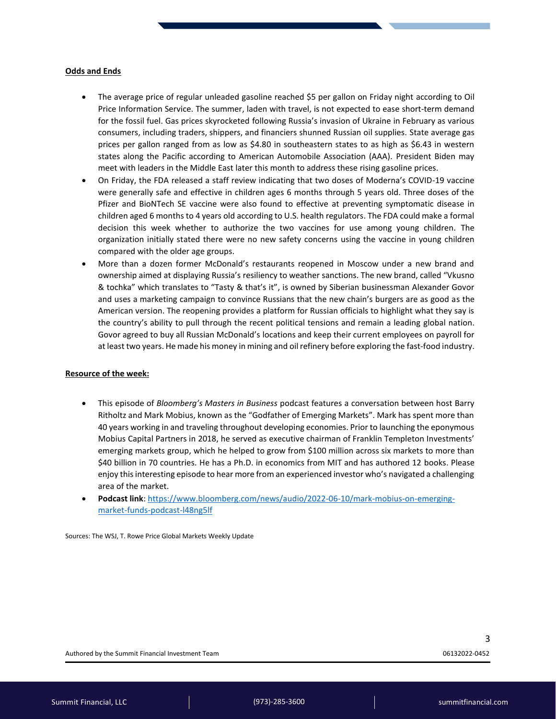#### **Odds and Ends**

- The average price of regular unleaded gasoline reached \$5 per gallon on Friday night according to Oil Price Information Service. The summer, laden with travel, is not expected to ease short-term demand for the fossil fuel. Gas prices skyrocketed following Russia's invasion of Ukraine in February as various consumers, including traders, shippers, and financiers shunned Russian oil supplies. State average gas prices per gallon ranged from as low as \$4.80 in southeastern states to as high as \$6.43 in western states along the Pacific according to American Automobile Association (AAA). President Biden may meet with leaders in the Middle East later this month to address these rising gasoline prices.
- On Friday, the FDA released a staff review indicating that two doses of Moderna's COVID-19 vaccine were generally safe and effective in children ages 6 months through 5 years old. Three doses of the Pfizer and BioNTech SE vaccine were also found to effective at preventing symptomatic disease in children aged 6 months to 4 years old according to U.S. health regulators. The FDA could make a formal decision this week whether to authorize the two vaccines for use among young children. The organization initially stated there were no new safety concerns using the vaccine in young children compared with the older age groups.
- More than a dozen former McDonald's restaurants reopened in Moscow under a new brand and ownership aimed at displaying Russia's resiliency to weather sanctions. The new brand, called "Vkusno & tochka" which translates to "Tasty & that's it", is owned by Siberian businessman Alexander Govor and uses a marketing campaign to convince Russians that the new chain's burgers are as good as the American version. The reopening provides a platform for Russian officials to highlight what they say is the country's ability to pull through the recent political tensions and remain a leading global nation. Govor agreed to buy all Russian McDonald's locations and keep their current employees on payroll for at least two years. He made his money in mining and oil refinery before exploring the fast-food industry.

## **Resource of the week:**

- This episode of *Bloomberg's Masters in Business* podcast features a conversation between host Barry Ritholtz and Mark Mobius, known as the "Godfather of Emerging Markets". Mark has spent more than 40 years working in and traveling throughout developing economies. Prior to launching the eponymous Mobius Capital Partners in 2018, he served as executive chairman of Franklin Templeton Investments' emerging markets group, which he helped to grow from \$100 million across six markets to more than \$40 billion in 70 countries. He has a Ph.D. in economics from MIT and has authored 12 books. Please enjoy this interesting episode to hear more from an experienced investor who's navigated a challenging area of the market.
- **Podcast link**: [https://www.bloomberg.com/news/audio/2022-06-10/mark-mobius-on-emerging](https://www.bloomberg.com/news/audio/2022-06-10/mark-mobius-on-emerging-market-funds-podcast-l48ng5lf)[market-funds-podcast-l48ng5lf](https://www.bloomberg.com/news/audio/2022-06-10/mark-mobius-on-emerging-market-funds-podcast-l48ng5lf)

Sources: The WSJ, T. Rowe Price Global Markets Weekly Update